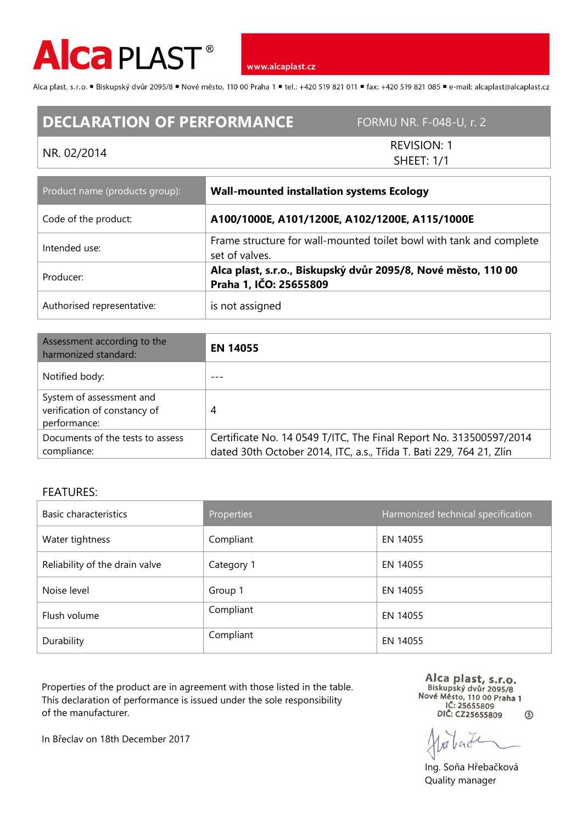

www.alcaplast.cz

Alca plast, s.r.o. "Biskupský dvůr 2095/8 "Nové město, 110 00 Praha 1 "tel.: +420 519 821 011 "fax: +420 519 821 085 " e-mail: alcaplast@alcaplast.cz

## **DECLARATION OF PERFORMANCE** FORMU NR. F-048-U, r. 2

## NR. 02/2014

REVISION: 1 SHEET: 1/1

| Product name (products group): | <b>Wall-mounted installation systems Ecology</b>                                        |  |
|--------------------------------|-----------------------------------------------------------------------------------------|--|
| Code of the product:           | A100/1000E, A101/1200E, A102/1200E, A115/1000E                                          |  |
| Intended use:                  | Frame structure for wall-mounted toilet bowl with tank and complete<br>set of valves.   |  |
| Producer:                      | Alca plast, s.r.o., Biskupský dvůr 2095/8, Nové město, 110 00<br>Praha 1, IČO: 25655809 |  |
| Authorised representative:     | is not assigned                                                                         |  |

| Assessment according to the<br>harmonized standard:                      | <b>EN 14055</b>                                                                                                                           |
|--------------------------------------------------------------------------|-------------------------------------------------------------------------------------------------------------------------------------------|
| Notified body:                                                           |                                                                                                                                           |
| System of assessment and<br>verification of constancy of<br>performance: | 4                                                                                                                                         |
| Documents of the tests to assess<br>compliance:                          | Certificate No. 14 0549 T/ITC, The Final Report No. 313500597/2014<br>dated 30th October 2014, ITC, a.s., Třída T. Bati 229, 764 21, Zlín |

## FEATURES:

| Basic characteristics          | Properties | Harmonized technical specification |
|--------------------------------|------------|------------------------------------|
| Water tightness                | Compliant  | EN 14055                           |
| Reliability of the drain valve | Category 1 | EN 14055                           |
| Noise level                    | Group 1    | EN 14055                           |
| Flush volume                   | Compliant  | EN 14055                           |
| Durability                     | Compliant  | EN 14055                           |

Properties of the product are in agreement with those listed in the table. This declaration of performance is issued under the sole responsibility of the manufacturer.

Alca plast, s.r.o.<br>Biskupský dvůr 2095/8<br>Nové Město, 110 00 Praha 1 IČ: 25655809 DIČ: CZ25655809  $\circ$ 

back

Ing. Soňa Hřebačková Quality manager

In Břeclav on 18th December 2017